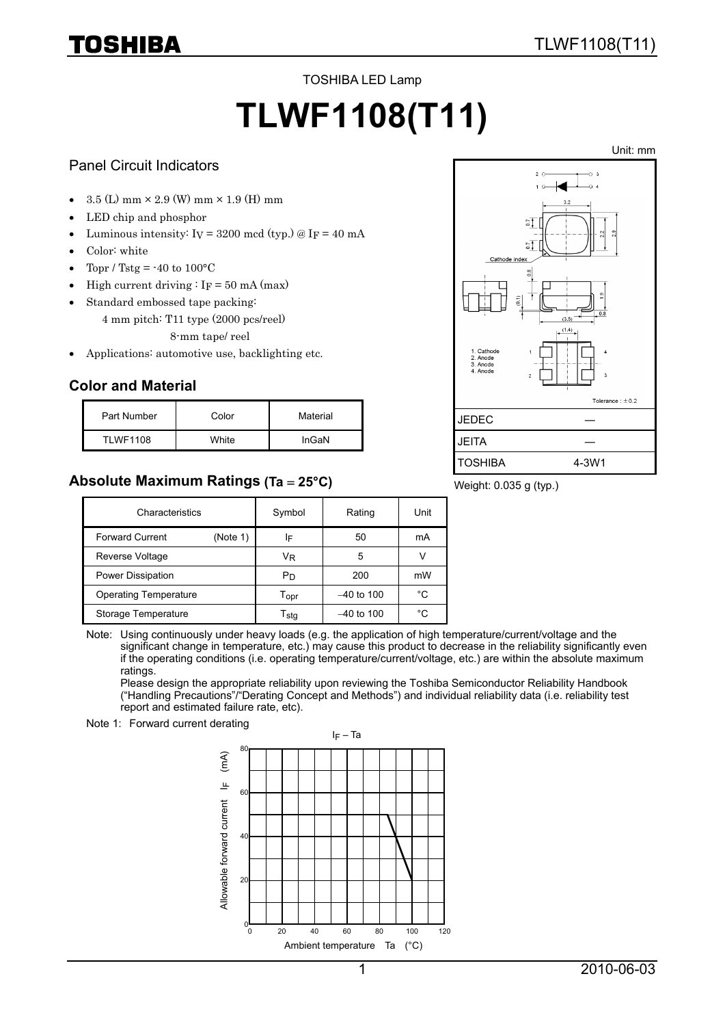TOSHIBA LED Lamp

# **TLWF1108(T11)**

#### Panel Circuit Indicators

- $3.5$  (L) mm  $\times$  2.9 (W) mm  $\times$  1.9 (H) mm
- LED chip and phosphor
- Luminous intensity:  $I_V = 3200$  mcd (typ.) @  $I_F = 40$  mA
- Color: white
- Topr / Tstg =  $-40$  to  $100^{\circ}$ C
- High current driving :  $I_F = 50$  mA (max)
- Standard embossed tape packing:
	- 4 mm pitch: T11 type (2000 pcs/reel)
		- 8-mm tape/ reel
- Applications: automotive use, backlighting etc.

### **Color and Material**

| Part Number     | Color | Material |
|-----------------|-------|----------|
| <b>TLWF1108</b> | White | InGaN    |

## **Absolute Maximum Ratings (Ta** = **25°C)**



Weight: 0.035 g (typ.)

| Characteristics                    | Symbol                      | Rating       | Unit |
|------------------------------------|-----------------------------|--------------|------|
| <b>Forward Current</b><br>(Note 1) | IF                          | 50           | mA   |
| Reverse Voltage                    | Vĸ                          | 5            |      |
| Power Dissipation                  | Pn                          | 200          | mW   |
| <b>Operating Temperature</b>       | $\mathsf{T}_{\mathsf{OPT}}$ | $-40$ to 100 | °C   |
| Storage Temperature                | $\mathsf{T}_{\mathsf{stq}}$ | $-40$ to 100 | °C   |

Note: Using continuously under heavy loads (e.g. the application of high temperature/current/voltage and the significant change in temperature, etc.) may cause this product to decrease in the reliability significantly even if the operating conditions (i.e. operating temperature/current/voltage, etc.) are within the absolute maximum ratings.

Please design the appropriate reliability upon reviewing the Toshiba Semiconductor Reliability Handbook ("Handling Precautions"/"Derating Concept and Methods") and individual reliability data (i.e. reliability test report and estimated failure rate, etc).

Note 1: Forward current derating

 $I_F$  – Ta 80  $(\overline{mA})$ Allowable forward current  $|F \nvert$  (mA) 프 60 Allowable forward current  $40$  $\overline{2}$  $\frac{1}{2}$ 0 80 100 120 20 40 60Ambient temperature Ta (°C)

Unit: mm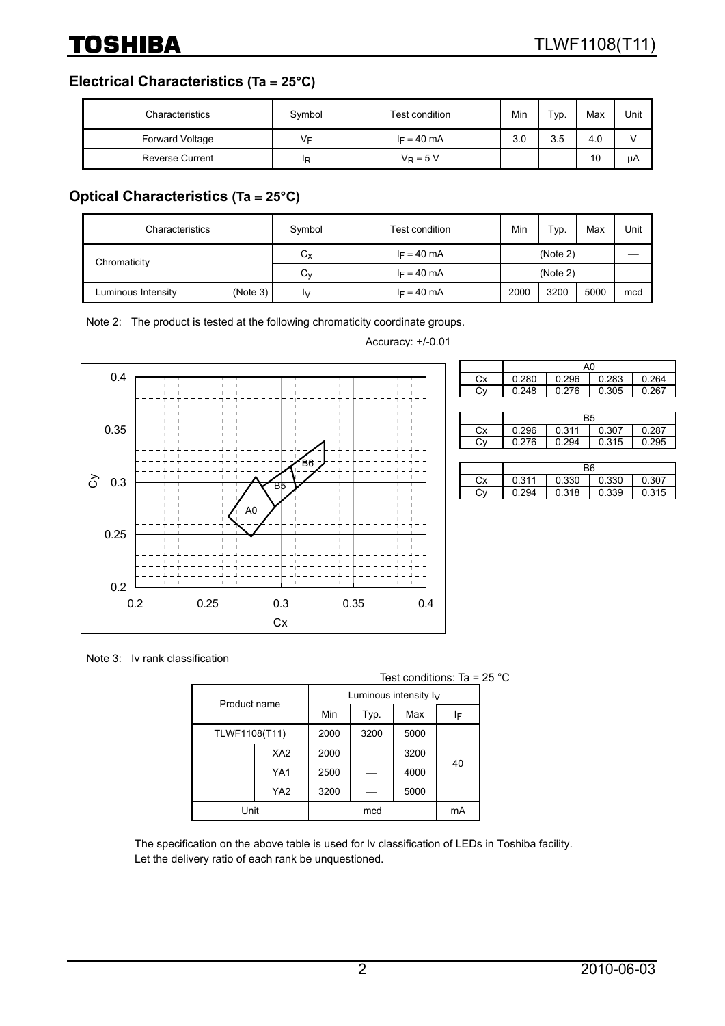#### **Electrical Characteristics (Ta** = **25°C)**

| Characteristics        | Symbol | Test condition | Min | Typ. | Max | Unit |
|------------------------|--------|----------------|-----|------|-----|------|
| <b>Forward Voltage</b> | VF     | $I_F = 40$ mA  | 3.0 | 3.5  | 4.0 |      |
| <b>Reverse Current</b> | ΙR     | $V_R = 5 V$    |     |      | 10  | μA   |

## **Optical Characteristics (Ta** = **25°C)**

| Characteristics                | Symbol      | Test condition | Min      | Typ. | Max  | Unit |
|--------------------------------|-------------|----------------|----------|------|------|------|
| Chromaticity                   | $C_{\rm X}$ | $I_F = 40$ mA  | (Note 2) |      |      |      |
|                                | Cv          | $I_F = 40$ mA  | (Note 2) |      |      |      |
| (Note 3)<br>Luminous Intensity | IV.         | $I_F = 40$ mA  | 2000     | 3200 | 5000 | mcd  |

Note 2: The product is tested at the following chromaticity coordinate groups.



Accuracy: +/-0.01

|    | A0             |       |       |       |  |  |  |  |  |
|----|----------------|-------|-------|-------|--|--|--|--|--|
| Cx | 0.280          | 0.296 | 0.283 | 0.264 |  |  |  |  |  |
| Cy | 0.248          | 0.276 | 0.305 | 0.267 |  |  |  |  |  |
|    |                |       |       |       |  |  |  |  |  |
|    | B5             |       |       |       |  |  |  |  |  |
| Сx | 0.296          | 0.311 | 0.307 | 0.287 |  |  |  |  |  |
| Cy | 0.276          | 0.294 | 0.315 | 0.295 |  |  |  |  |  |
|    |                |       |       |       |  |  |  |  |  |
|    | B <sub>6</sub> |       |       |       |  |  |  |  |  |
| Сx | 0.311          | 0.330 | 0.330 | 0.307 |  |  |  |  |  |
| C١ | 0.294          | 0.318 | 0.339 | 0.315 |  |  |  |  |  |

Note 3: Iv rank classification

Test conditions: Ta = 25 °C

| Product name  |                 | Luminous intensity $I_V$ |      |      |    |  |
|---------------|-----------------|--------------------------|------|------|----|--|
|               |                 | Min                      | Typ. | Max  | ΙF |  |
| TLWF1108(T11) |                 | 2000                     | 3200 | 5000 |    |  |
|               | XA <sub>2</sub> | 2000                     |      | 3200 |    |  |
|               | YA1             |                          |      | 4000 | 40 |  |
|               | YA <sub>2</sub> | 3200                     |      | 5000 |    |  |
| Unit          |                 |                          | mcd  |      | mA |  |

The specification on the above table is used for Iv classification of LEDs in Toshiba facility. Let the delivery ratio of each rank be unquestioned.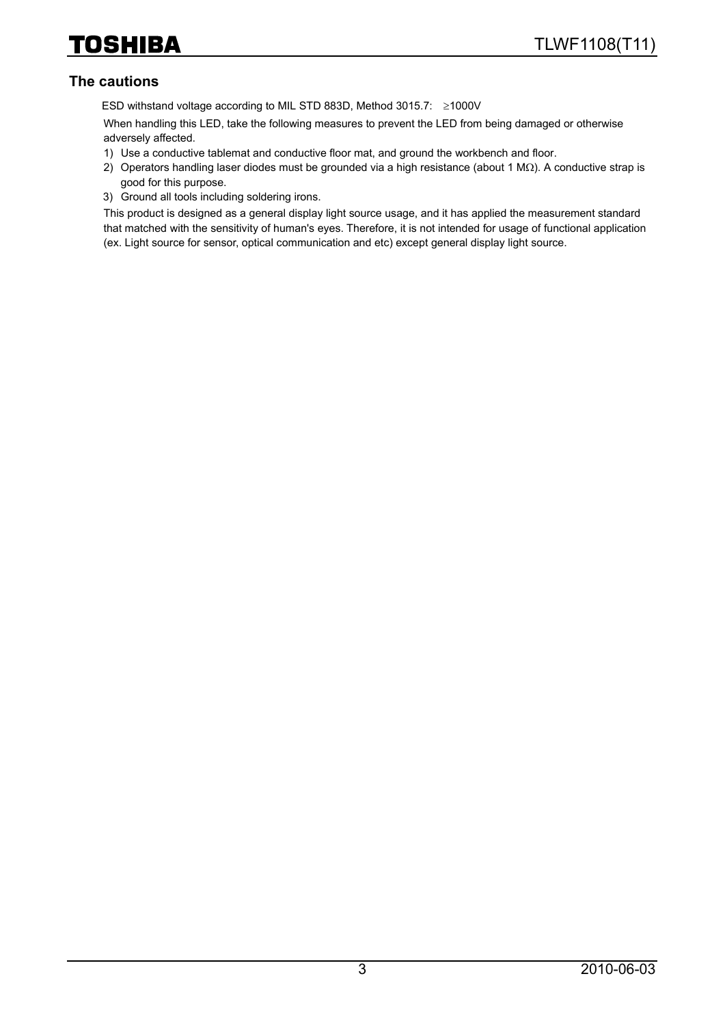#### **The cautions**

ESD withstand voltage according to MIL STD 883D, Method 3015.7: ≥1000V

When handling this LED, take the following measures to prevent the LED from being damaged or otherwise adversely affected.

- 1) Use a conductive tablemat and conductive floor mat, and ground the workbench and floor.
- 2) Operators handling laser diodes must be grounded via a high resistance (about 1 MΩ). A conductive strap is good for this purpose.
- 3) Ground all tools including soldering irons.

This product is designed as a general display light source usage, and it has applied the measurement standard that matched with the sensitivity of human's eyes. Therefore, it is not intended for usage of functional application (ex. Light source for sensor, optical communication and etc) except general display light source.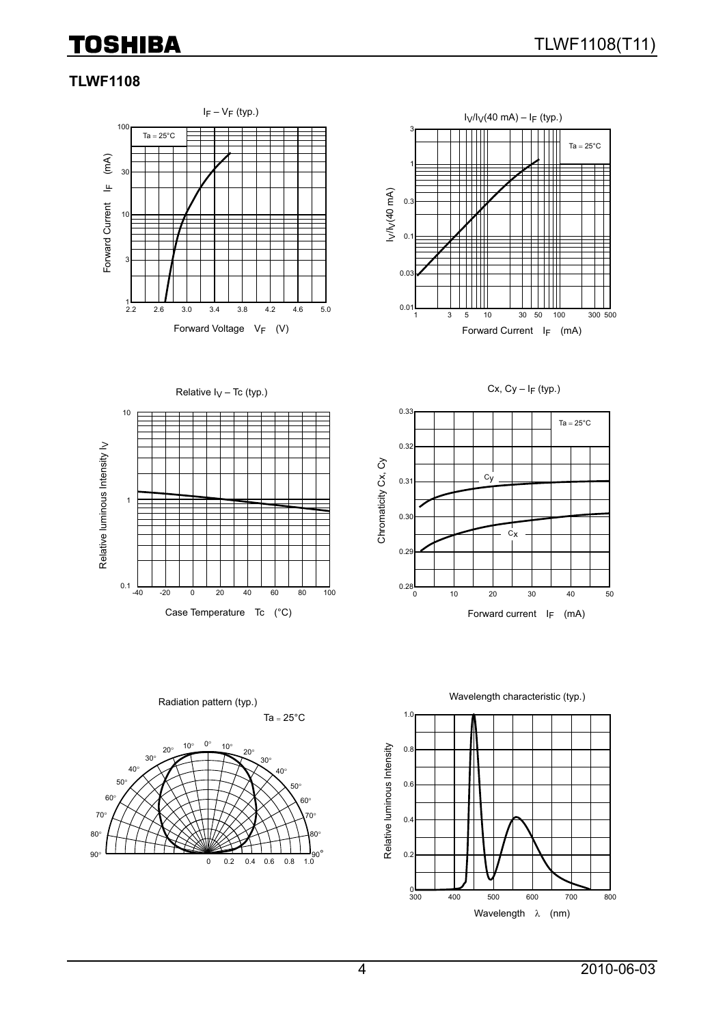### **TLWF1108**





Cx,  $Cy - I_F$  (typ.)





Ta =  $25^{\circ}$ C Radiation pattern (typ.)





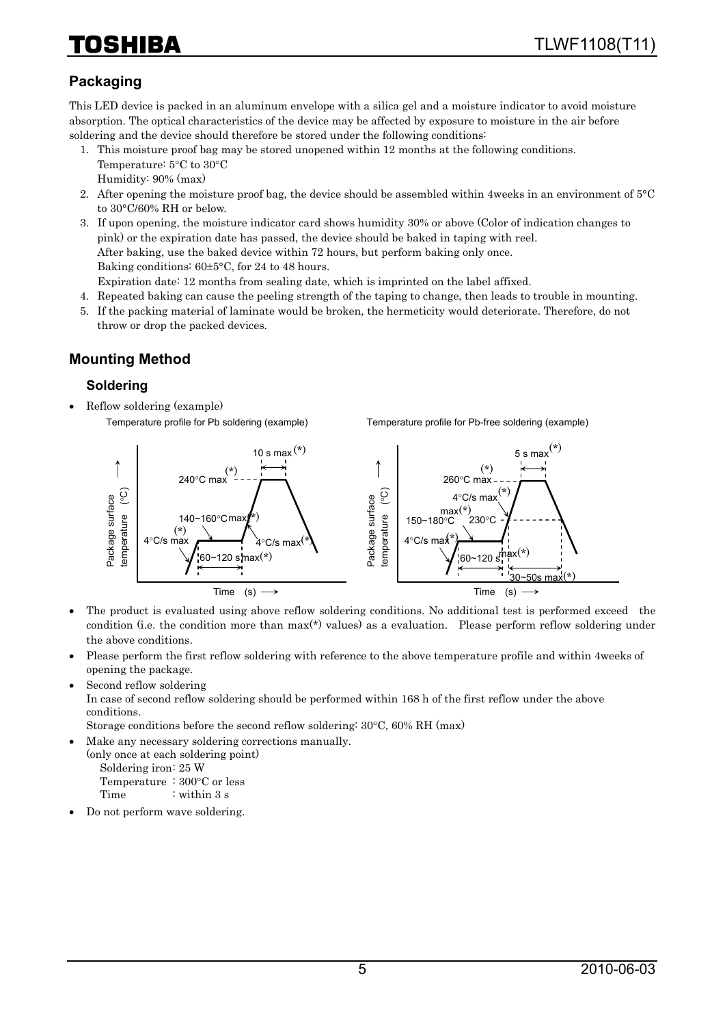# HIBA

# **Packaging**

This LED device is packed in an aluminum envelope with a silica gel and a moisture indicator to avoid moisture absorption. The optical characteristics of the device may be affected by exposure to moisture in the air before soldering and the device should therefore be stored under the following conditions:

- 1. This moisture proof bag may be stored unopened within 12 months at the following conditions. Temperature: 5°C to 30°C Humidity: 90% (max)
- 2. After opening the moisture proof bag, the device should be assembled within 4weeks in an environment of 5°C to 30°C/60% RH or below.
- 3. If upon opening, the moisture indicator card shows humidity 30% or above (Color of indication changes to pink) or the expiration date has passed, the device should be baked in taping with reel. After baking, use the baked device within 72 hours, but perform baking only once. Baking conditions: 60±5°C, for 24 to 48 hours. Expiration date: 12 months from sealing date, which is imprinted on the label affixed.
- 4. Repeated baking can cause the peeling strength of the taping to change, then leads to trouble in mounting.
- 5. If the packing material of laminate would be broken, the hermeticity would deteriorate. Therefore, do not throw or drop the packed devices.

#### **Mounting Method**

#### **Soldering**

• Reflow soldering (example) Temperature profile for Pb soldering (example)

Temperature profile for Pb-free soldering (example)



- The product is evaluated using above reflow soldering conditions. No additional test is performed exceed the condition (i.e. the condition more than max(\*) values) as a evaluation. Please perform reflow soldering under the above conditions.
- Please perform the first reflow soldering with reference to the above temperature profile and within 4weeks of opening the package.
- Second reflow soldering

In case of second reflow soldering should be performed within 168 h of the first reflow under the above conditions.

Storage conditions before the second reflow soldering: 30°C, 60% RH (max)

• Make any necessary soldering corrections manually.

(only once at each soldering point) Soldering iron: 25 W Temperature : 300°C or less

Time : within 3 s

• Do not perform wave soldering.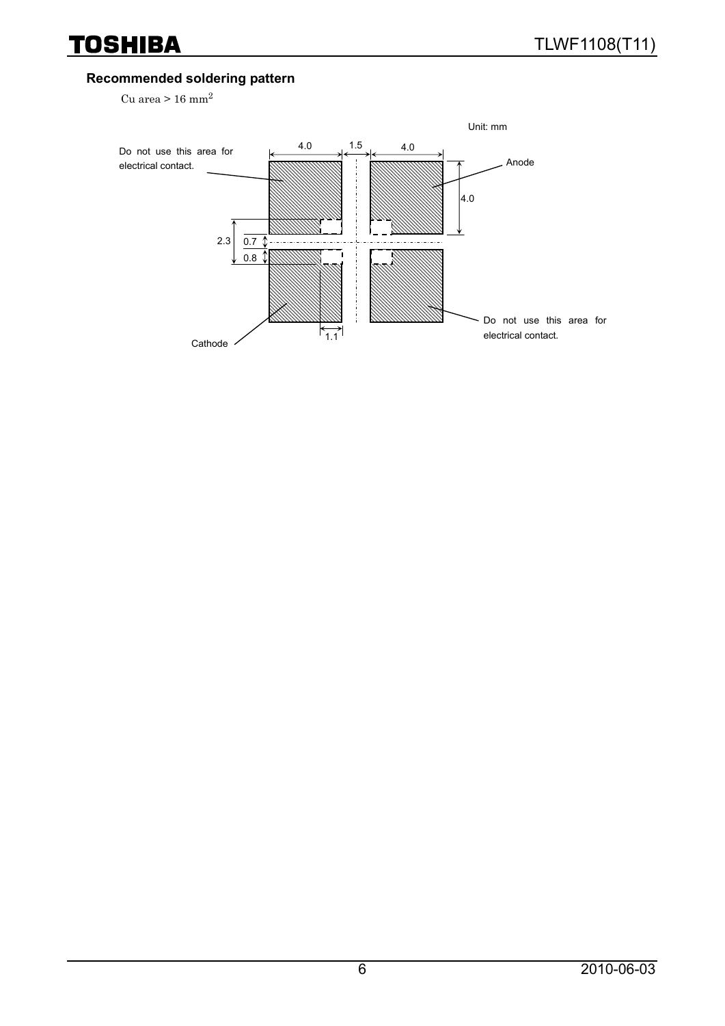### **Recommended soldering pattern**

Cu area >  $16$  mm<sup>2</sup>

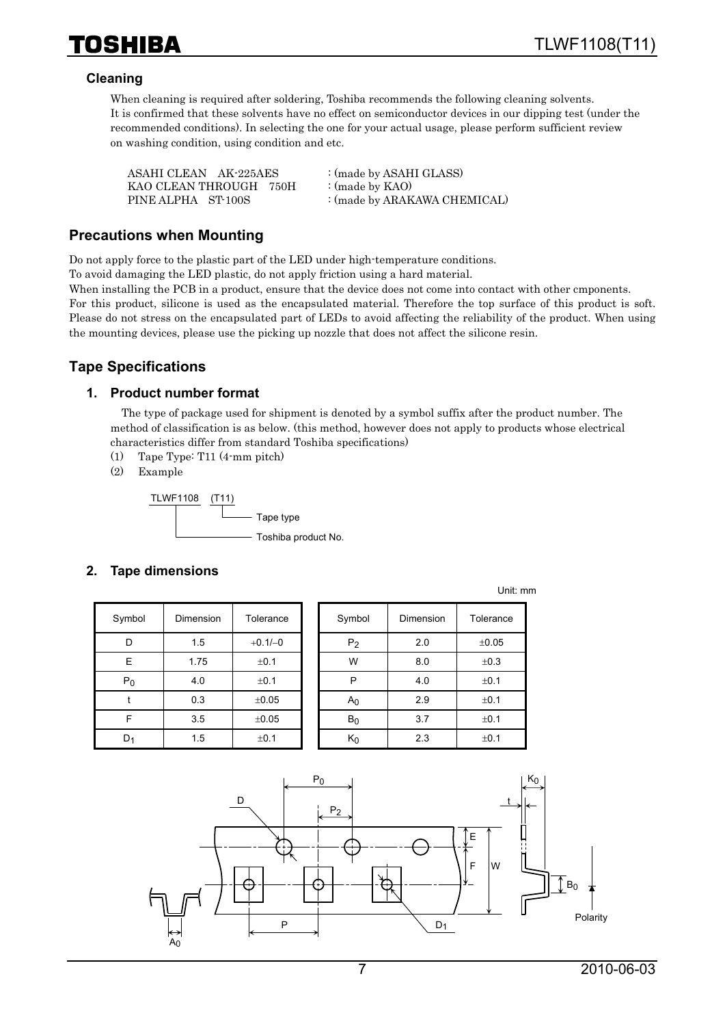

#### **Cleaning**

When cleaning is required after soldering, Toshiba recommends the following cleaning solvents. It is confirmed that these solvents have no effect on semiconductor devices in our dipping test (under the recommended conditions). In selecting the one for your actual usage, please perform sufficient review on washing condition, using condition and etc.

| ASAHI CLEAN AK-225AES  | : (made by ASAHI GLASS)      |
|------------------------|------------------------------|
| KAO CLEAN THROUGH 750H | : (made by $KAO$ )           |
| PINE ALPHA ST-100S     | : (made by ARAKAWA CHEMICAL) |

#### **Precautions when Mounting**

Do not apply force to the plastic part of the LED under high-temperature conditions.

To avoid damaging the LED plastic, do not apply friction using a hard material.

When installing the PCB in a product, ensure that the device does not come into contact with other cmponents. For this product, silicone is used as the encapsulated material. Therefore the top surface of this product is soft. Please do not stress on the encapsulated part of LEDs to avoid affecting the reliability of the product. When using the mounting devices, please use the picking up nozzle that does not affect the silicone resin.

#### **Tape Specifications**

#### **1. Product number format**

The type of package used for shipment is denoted by a symbol suffix after the product number. The method of classification is as below. (this method, however does not apply to products whose electrical characteristics differ from standard Toshiba specifications)

- (1) Tape Type: T11 (4-mm pitch)
- (2) Example



#### **2. Tape dimensions**

| Symbol | <b>Dimension</b> | Tolerance | Symbol         | Dimension | Tolerance |
|--------|------------------|-----------|----------------|-----------|-----------|
| D      | 1.5              | $+0.1/-0$ | P <sub>2</sub> | 2.0       | ±0.05     |
| E      | 1.75             | ±0.1      | W              | 8.0       | ±0.3      |
| $P_0$  | 4.0              | ±0.1      | P              | 4.0       | ±0.1      |
|        | 0.3              | ±0.05     | A <sub>0</sub> | 2.9       | ±0.1      |
| F      | 3.5              | ±0.05     | $B_0$          | 3.7       | ±0.1      |
| $D_1$  | 1.5              | ±0.1      | $K_0$          | 2.3       | ±0.1      |

| mbol  | Dimension | Tolerance | Symbol         | Dimension | Tolerance |
|-------|-----------|-----------|----------------|-----------|-----------|
| D     | 1.5       | $+0.1/-0$ | P <sub>2</sub> | 2.0       | ±0.05     |
| E.    | 1.75      | ±0.1      | W              | 8.0       | ±0.3      |
| $P_0$ | 4.0       | ±0.1      | P              | 4.0       | ±0.1      |
| t     | 0.3       | ±0.05     | A <sub>0</sub> | 2.9       | ±0.1      |
| F     | 3.5       | ±0.05     | $B_0$          | 3.7       | ±0.1      |
| וכ    | 1.5       | ±0.1      | $K_0$          | 2.3       | ±0.1      |

Unit: mm

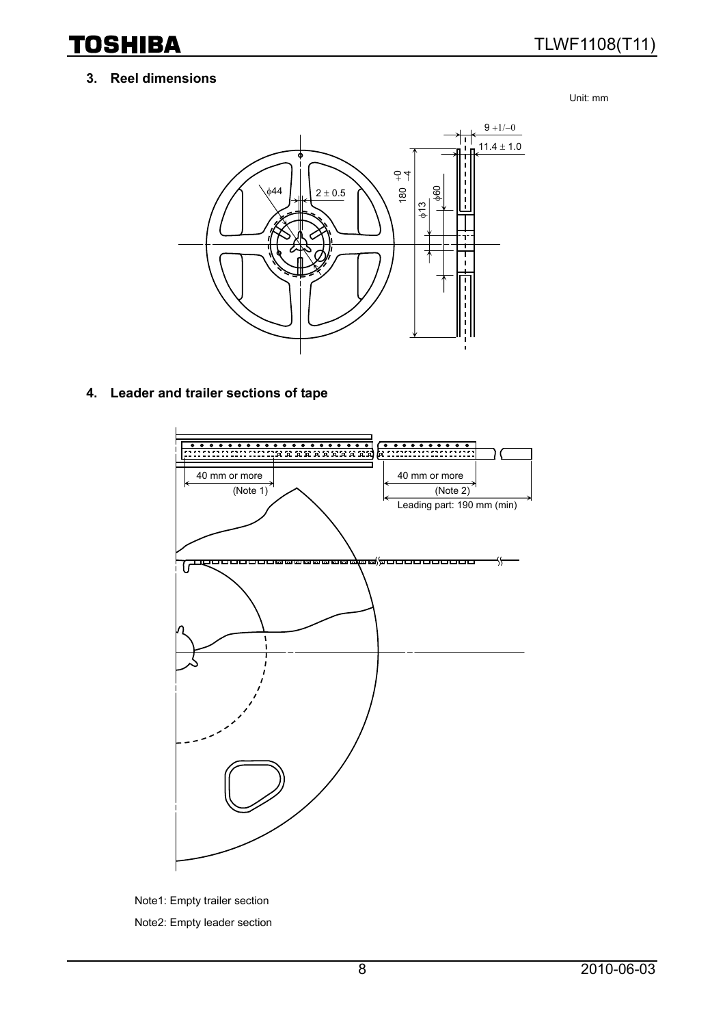# TLWF1108(T11)

#### **3. Reel dimensions**

Unit: mm



#### **4. Leader and trailer sections of tape**



Note1: Empty trailer section Note2: Empty leader section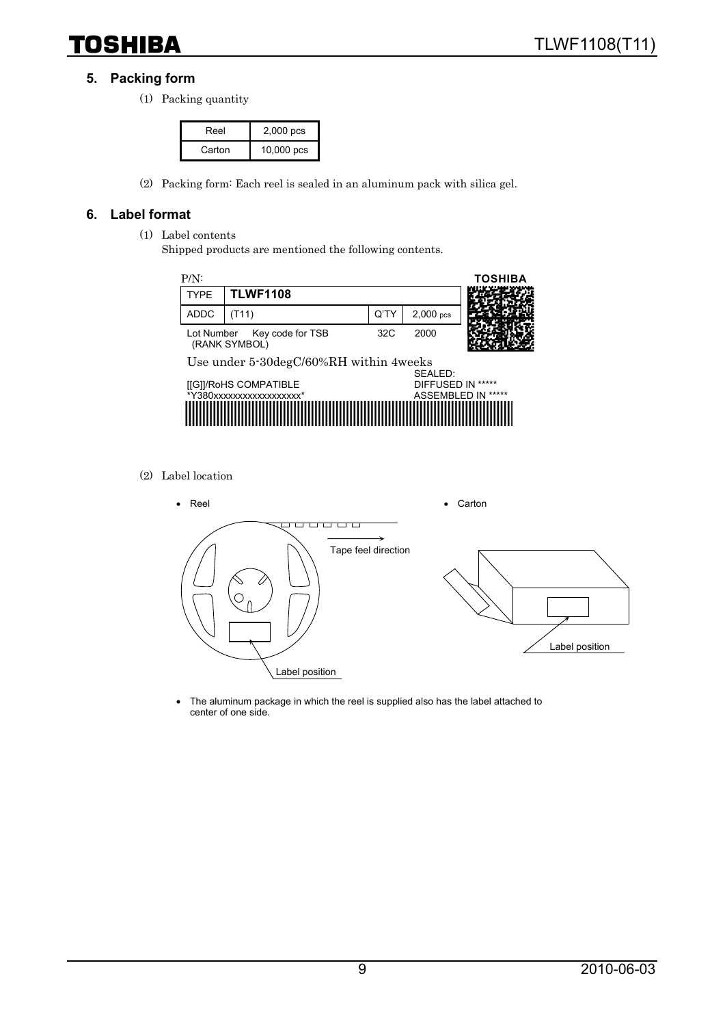#### **5. Packing form**

(1) Packing quantity

| Reel   | 2,000 pcs  |
|--------|------------|
| Carton | 10,000 pcs |

(2) Packing form: Each reel is sealed in an aluminum pack with silica gel.

#### **6. Label format**

- (1) Label contents
	- Shipped products are mentioned the following contents.



(2) Label location



• The aluminum package in which the reel is supplied also has the label attached to center of one side.